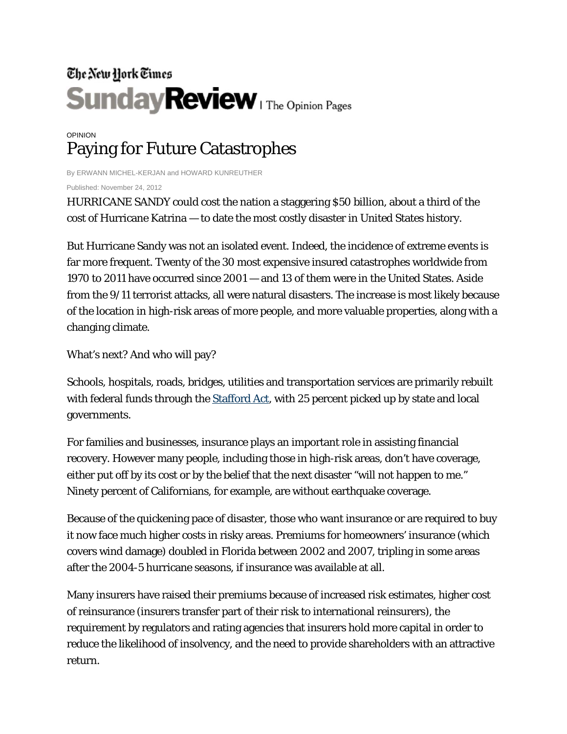## The New Hork Times **Sunday Review In The Opinion Pages**

## OPINION Paying for Future Catastrophes

By ERWANN MICHEL-KERJAN and HOWARD KUNREUTHER

Published: November 24, 2012

HURRICANE SANDY could cost the nation a staggering \$50 billion, about a third of the cost of Hurricane Katrina — to date the most costly disaster in United States history.

But Hurricane Sandy was not an isolated event. Indeed, the incidence of extreme events is far more frequent. Twenty of the 30 most expensive insured catastrophes worldwide from 1970 to 2011 have occurred since 2001 — and 13 of them were in the United States. Aside from the 9/11 terrorist attacks, all were natural disasters. The increase is most likely because of the location in high-risk areas of more people, and more valuable properties, along with a changing climate.

What's next? And who will pay?

Schools, hospitals, roads, bridges, utilities and transportation services are primarily rebuilt with federal funds through the Stafford Act, with 25 percent picked up by state and local governments.

For families and businesses, insurance plays an important role in assisting financial recovery. However many people, including those in high-risk areas, don't have coverage, either put off by its cost or by the belief that the next disaster "will not happen to me." Ninety percent of Californians, for example, are without earthquake coverage.

Because of the quickening pace of disaster, those who want insurance or are required to buy it now face much higher costs in risky areas. Premiums for homeowners' insurance (which covers wind damage) doubled in Florida between 2002 and 2007, tripling in some areas after the 2004-5 hurricane seasons, if insurance was available at all.

Many insurers have raised their premiums because of increased risk estimates, higher cost of reinsurance (insurers transfer part of their risk to international reinsurers), the requirement by regulators and rating agencies that insurers hold more capital in order to reduce the likelihood of insolvency, and the need to provide shareholders with an attractive return.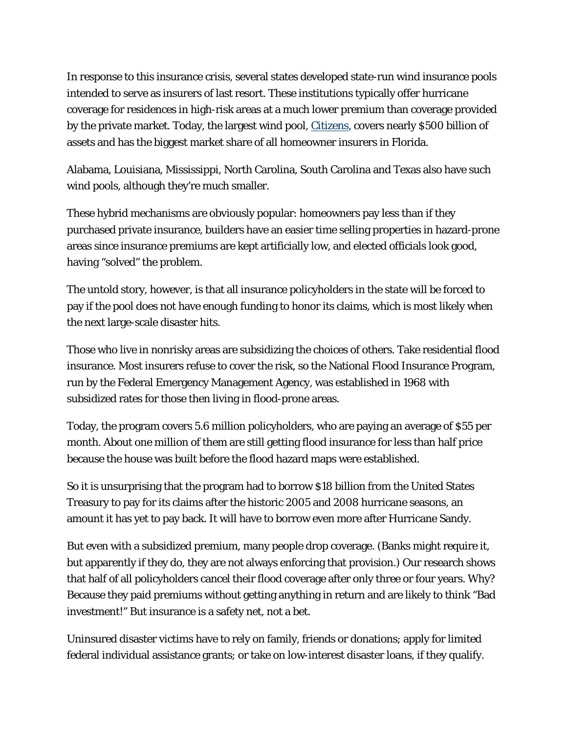In response to this insurance crisis, several states developed state-run wind insurance pools intended to serve as insurers of last resort. These institutions typically offer hurricane coverage for residences in high-risk areas at a much lower premium than coverage provided by the private market. Today, the largest wind pool, Citizens, covers nearly \$500 billion of assets and has the biggest market share of all homeowner insurers in Florida.

Alabama, Louisiana, Mississippi, North Carolina, South Carolina and Texas also have such wind pools, although they're much smaller.

These hybrid mechanisms are obviously popular: homeowners pay less than if they purchased private insurance, builders have an easier time selling properties in hazard-prone areas since insurance premiums are kept artificially low, and elected officials look good, having "solved" the problem.

The untold story, however, is that all insurance policyholders in the state will be forced to pay if the pool does not have enough funding to honor its claims, which is most likely when the next large-scale disaster hits.

Those who live in nonrisky areas are subsidizing the choices of others. Take residential flood insurance. Most insurers refuse to cover the risk, so the National Flood Insurance Program, run by the Federal Emergency Management Agency, was established in 1968 with subsidized rates for those then living in flood-prone areas.

Today, the program covers 5.6 million policyholders, who are paying an average of \$55 per month. About one million of them are still getting flood insurance for less than half price because the house was built before the flood hazard maps were established.

So it is unsurprising that the program had to borrow \$18 billion from the United States Treasury to pay for its claims after the historic 2005 and 2008 hurricane seasons, an amount it has yet to pay back. It will have to borrow even more after Hurricane Sandy.

But even with a subsidized premium, many people drop coverage. (Banks might require it, but apparently if they do, they are not always enforcing that provision.) Our research shows that half of all policyholders cancel their flood coverage after only three or four years. Why? Because they paid premiums without getting anything in return and are likely to think "Bad investment!" But insurance is a safety net, not a bet.

Uninsured disaster victims have to rely on family, friends or donations; apply for limited federal individual assistance grants; or take on low-interest disaster loans, if they qualify.